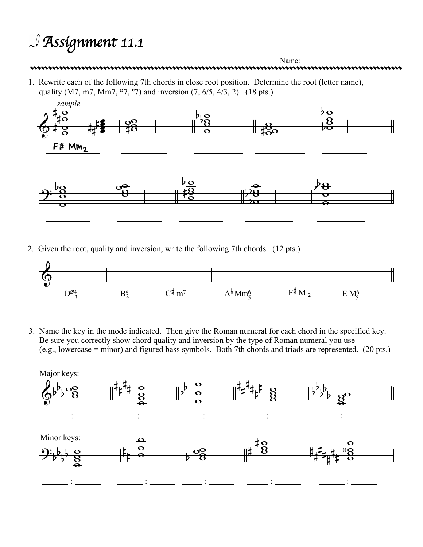## *Assignment 11.1*



2. Given the root, quality and inversion, write the following 7th chords. (12 pts.)



3. Name the key in the mode indicated. Then give the Roman numeral for each chord in the specified key. Be sure you correctly show chord quality and inversion by the type of Roman numeral you use (e.g., lowercase = minor) and figured bass symbols. Both 7th chords and triads are represented. (20 pts.)